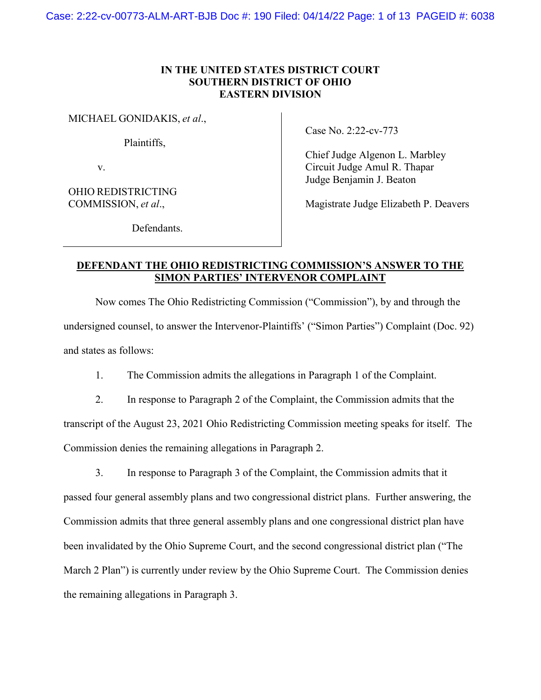## **IN THE UNITED STATES DISTRICT COURT SOUTHERN DISTRICT OF OHIO EASTERN DIVISION**

MICHAEL GONIDAKIS, *et al*.,

Plaintiffs,

v.

OHIO REDISTRICTING COMMISSION, *et al*.,

Case No. 2:22-cv-773

Chief Judge Algenon L. Marbley Circuit Judge Amul R. Thapar Judge Benjamin J. Beaton

Magistrate Judge Elizabeth P. Deavers

Defendants.

## **DEFENDANT THE OHIO REDISTRICTING COMMISSION'S ANSWER TO THE SIMON PARTIES' INTERVENOR COMPLAINT**

Now comes The Ohio Redistricting Commission ("Commission"), by and through the undersigned counsel, to answer the Intervenor-Plaintiffs' ("Simon Parties") Complaint (Doc. 92) and states as follows:

1. The Commission admits the allegations in Paragraph 1 of the Complaint.

2. In response to Paragraph 2 of the Complaint, the Commission admits that the transcript of the August 23, 2021 Ohio Redistricting Commission meeting speaks for itself. The Commission denies the remaining allegations in Paragraph 2.

3. In response to Paragraph 3 of the Complaint, the Commission admits that it passed four general assembly plans and two congressional district plans. Further answering, the Commission admits that three general assembly plans and one congressional district plan have been invalidated by the Ohio Supreme Court, and the second congressional district plan ("The March 2 Plan") is currently under review by the Ohio Supreme Court. The Commission denies the remaining allegations in Paragraph 3.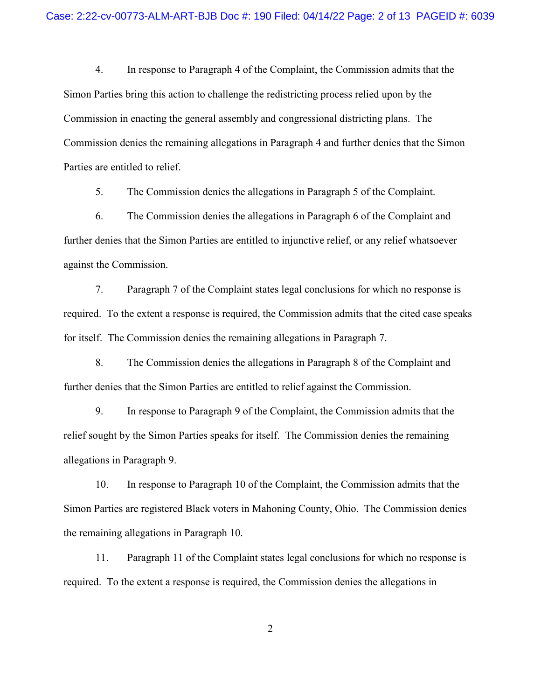4. In response to Paragraph 4 of the Complaint, the Commission admits that the Simon Parties bring this action to challenge the redistricting process relied upon by the Commission in enacting the general assembly and congressional districting plans. The Commission denies the remaining allegations in Paragraph 4 and further denies that the Simon Parties are entitled to relief.

5. The Commission denies the allegations in Paragraph 5 of the Complaint.

6. The Commission denies the allegations in Paragraph 6 of the Complaint and further denies that the Simon Parties are entitled to injunctive relief, or any relief whatsoever against the Commission.

7. Paragraph 7 of the Complaint states legal conclusions for which no response is required. To the extent a response is required, the Commission admits that the cited case speaks for itself. The Commission denies the remaining allegations in Paragraph 7.

8. The Commission denies the allegations in Paragraph 8 of the Complaint and further denies that the Simon Parties are entitled to relief against the Commission.

9. In response to Paragraph 9 of the Complaint, the Commission admits that the relief sought by the Simon Parties speaks for itself. The Commission denies the remaining allegations in Paragraph 9.

10. In response to Paragraph 10 of the Complaint, the Commission admits that the Simon Parties are registered Black voters in Mahoning County, Ohio. The Commission denies the remaining allegations in Paragraph 10.

11. Paragraph 11 of the Complaint states legal conclusions for which no response is required. To the extent a response is required, the Commission denies the allegations in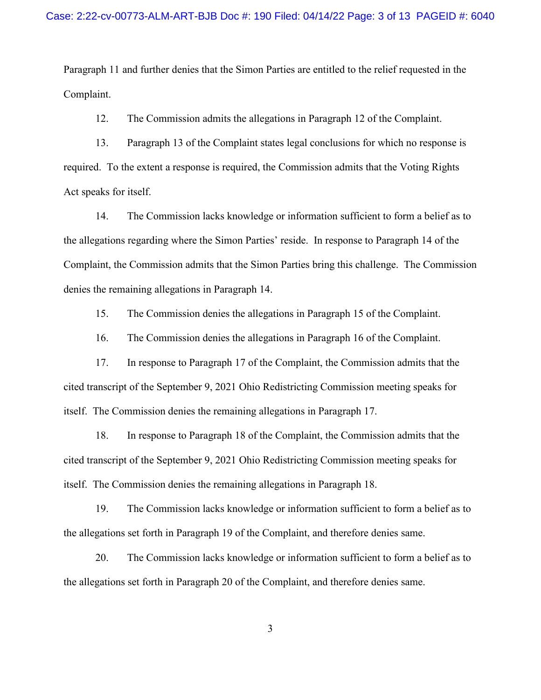Paragraph 11 and further denies that the Simon Parties are entitled to the relief requested in the Complaint.

12. The Commission admits the allegations in Paragraph 12 of the Complaint.

13. Paragraph 13 of the Complaint states legal conclusions for which no response is required. To the extent a response is required, the Commission admits that the Voting Rights Act speaks for itself.

14. The Commission lacks knowledge or information sufficient to form a belief as to the allegations regarding where the Simon Parties' reside. In response to Paragraph 14 of the Complaint, the Commission admits that the Simon Parties bring this challenge. The Commission denies the remaining allegations in Paragraph 14.

15. The Commission denies the allegations in Paragraph 15 of the Complaint.

16. The Commission denies the allegations in Paragraph 16 of the Complaint.

17. In response to Paragraph 17 of the Complaint, the Commission admits that the cited transcript of the September 9, 2021 Ohio Redistricting Commission meeting speaks for itself. The Commission denies the remaining allegations in Paragraph 17.

18. In response to Paragraph 18 of the Complaint, the Commission admits that the cited transcript of the September 9, 2021 Ohio Redistricting Commission meeting speaks for itself. The Commission denies the remaining allegations in Paragraph 18.

19. The Commission lacks knowledge or information sufficient to form a belief as to the allegations set forth in Paragraph 19 of the Complaint, and therefore denies same.

20. The Commission lacks knowledge or information sufficient to form a belief as to the allegations set forth in Paragraph 20 of the Complaint, and therefore denies same.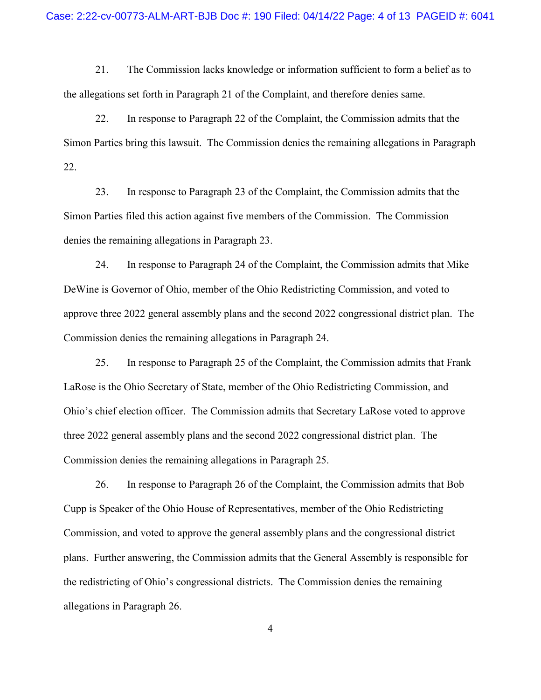21. The Commission lacks knowledge or information sufficient to form a belief as to the allegations set forth in Paragraph 21 of the Complaint, and therefore denies same.

22. In response to Paragraph 22 of the Complaint, the Commission admits that the Simon Parties bring this lawsuit. The Commission denies the remaining allegations in Paragraph 22.

23. In response to Paragraph 23 of the Complaint, the Commission admits that the Simon Parties filed this action against five members of the Commission. The Commission denies the remaining allegations in Paragraph 23.

24. In response to Paragraph 24 of the Complaint, the Commission admits that Mike DeWine is Governor of Ohio, member of the Ohio Redistricting Commission, and voted to approve three 2022 general assembly plans and the second 2022 congressional district plan. The Commission denies the remaining allegations in Paragraph 24.

25. In response to Paragraph 25 of the Complaint, the Commission admits that Frank LaRose is the Ohio Secretary of State, member of the Ohio Redistricting Commission, and Ohio's chief election officer. The Commission admits that Secretary LaRose voted to approve three 2022 general assembly plans and the second 2022 congressional district plan. The Commission denies the remaining allegations in Paragraph 25.

26. In response to Paragraph 26 of the Complaint, the Commission admits that Bob Cupp is Speaker of the Ohio House of Representatives, member of the Ohio Redistricting Commission, and voted to approve the general assembly plans and the congressional district plans. Further answering, the Commission admits that the General Assembly is responsible for the redistricting of Ohio's congressional districts. The Commission denies the remaining allegations in Paragraph 26.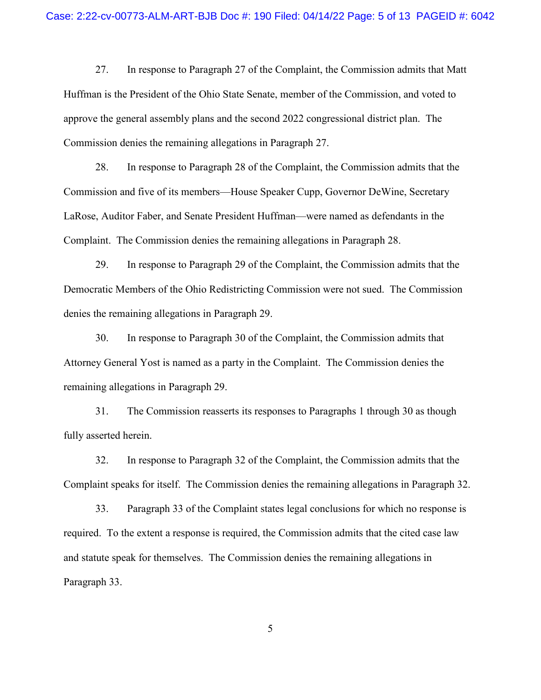27. In response to Paragraph 27 of the Complaint, the Commission admits that Matt Huffman is the President of the Ohio State Senate, member of the Commission, and voted to approve the general assembly plans and the second 2022 congressional district plan. The Commission denies the remaining allegations in Paragraph 27.

28. In response to Paragraph 28 of the Complaint, the Commission admits that the Commission and five of its members—House Speaker Cupp, Governor DeWine, Secretary LaRose, Auditor Faber, and Senate President Huffman—were named as defendants in the Complaint. The Commission denies the remaining allegations in Paragraph 28.

29. In response to Paragraph 29 of the Complaint, the Commission admits that the Democratic Members of the Ohio Redistricting Commission were not sued. The Commission denies the remaining allegations in Paragraph 29.

30. In response to Paragraph 30 of the Complaint, the Commission admits that Attorney General Yost is named as a party in the Complaint. The Commission denies the remaining allegations in Paragraph 29.

31. The Commission reasserts its responses to Paragraphs 1 through 30 as though fully asserted herein.

32. In response to Paragraph 32 of the Complaint, the Commission admits that the Complaint speaks for itself. The Commission denies the remaining allegations in Paragraph 32.

33. Paragraph 33 of the Complaint states legal conclusions for which no response is required. To the extent a response is required, the Commission admits that the cited case law and statute speak for themselves. The Commission denies the remaining allegations in Paragraph 33.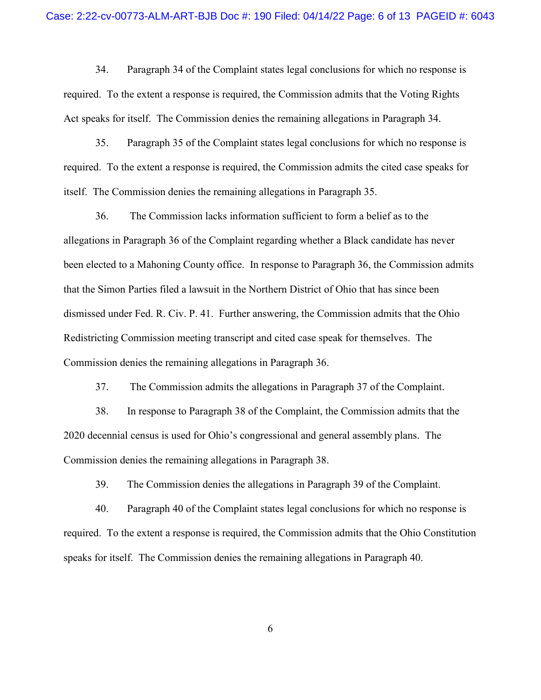34. Paragraph 34 of the Complaint states legal conclusions for which no response is required. To the extent a response is required, the Commission admits that the Voting Rights Act speaks for itself. The Commission denies the remaining allegations in Paragraph 34.

35. Paragraph 35 of the Complaint states legal conclusions for which no response is required. To the extent a response is required, the Commission admits the cited case speaks for itself. The Commission denies the remaining allegations in Paragraph 35.

36. The Commission lacks information sufficient to form a belief as to the allegations in Paragraph 36 of the Complaint regarding whether a Black candidate has never been elected to a Mahoning County office. In response to Paragraph 36, the Commission admits that the Simon Parties filed a lawsuit in the Northern District of Ohio that has since been dismissed under Fed. R. Civ. P. 41. Further answering, the Commission admits that the Ohio Redistricting Commission meeting transcript and cited case speak for themselves. The Commission denies the remaining allegations in Paragraph 36.

37. The Commission admits the allegations in Paragraph 37 of the Complaint.

38. In response to Paragraph 38 of the Complaint, the Commission admits that the 2020 decennial census is used for Ohio's congressional and general assembly plans. The Commission denies the remaining allegations in Paragraph 38.

39. The Commission denies the allegations in Paragraph 39 of the Complaint.

40. Paragraph 40 of the Complaint states legal conclusions for which no response is required. To the extent a response is required, the Commission admits that the Ohio Constitution speaks for itself. The Commission denies the remaining allegations in Paragraph 40.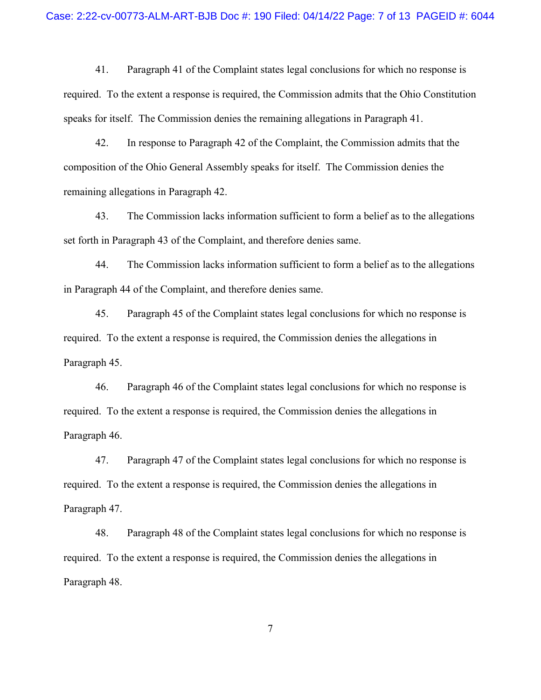41. Paragraph 41 of the Complaint states legal conclusions for which no response is required. To the extent a response is required, the Commission admits that the Ohio Constitution speaks for itself. The Commission denies the remaining allegations in Paragraph 41.

42. In response to Paragraph 42 of the Complaint, the Commission admits that the composition of the Ohio General Assembly speaks for itself. The Commission denies the remaining allegations in Paragraph 42.

43. The Commission lacks information sufficient to form a belief as to the allegations set forth in Paragraph 43 of the Complaint, and therefore denies same.

44. The Commission lacks information sufficient to form a belief as to the allegations in Paragraph 44 of the Complaint, and therefore denies same.

45. Paragraph 45 of the Complaint states legal conclusions for which no response is required. To the extent a response is required, the Commission denies the allegations in Paragraph 45.

46. Paragraph 46 of the Complaint states legal conclusions for which no response is required. To the extent a response is required, the Commission denies the allegations in Paragraph 46.

47. Paragraph 47 of the Complaint states legal conclusions for which no response is required. To the extent a response is required, the Commission denies the allegations in Paragraph 47.

48. Paragraph 48 of the Complaint states legal conclusions for which no response is required. To the extent a response is required, the Commission denies the allegations in Paragraph 48.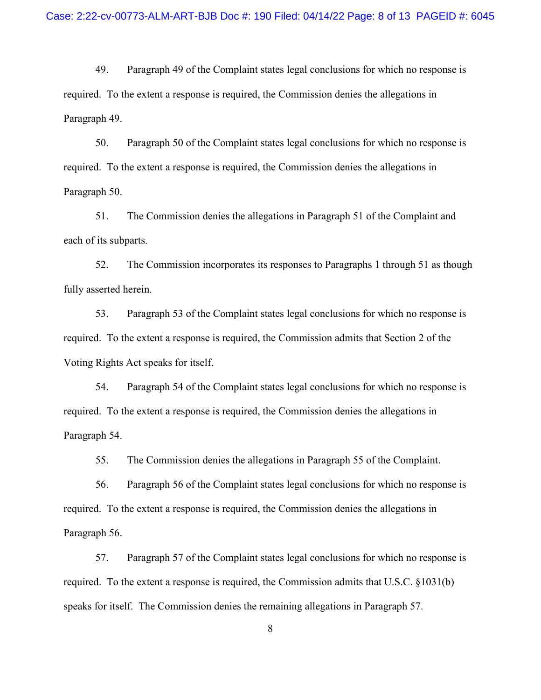49. Paragraph 49 of the Complaint states legal conclusions for which no response is required. To the extent a response is required, the Commission denies the allegations in Paragraph 49.

50. Paragraph 50 of the Complaint states legal conclusions for which no response is required. To the extent a response is required, the Commission denies the allegations in Paragraph 50.

51. The Commission denies the allegations in Paragraph 51 of the Complaint and each of its subparts.

52. The Commission incorporates its responses to Paragraphs 1 through 51 as though fully asserted herein.

53. Paragraph 53 of the Complaint states legal conclusions for which no response is required. To the extent a response is required, the Commission admits that Section 2 of the Voting Rights Act speaks for itself.

54. Paragraph 54 of the Complaint states legal conclusions for which no response is required. To the extent a response is required, the Commission denies the allegations in Paragraph 54.

55. The Commission denies the allegations in Paragraph 55 of the Complaint.

56. Paragraph 56 of the Complaint states legal conclusions for which no response is required. To the extent a response is required, the Commission denies the allegations in Paragraph 56.

57. Paragraph 57 of the Complaint states legal conclusions for which no response is required. To the extent a response is required, the Commission admits that U.S.C. §1031(b) speaks for itself. The Commission denies the remaining allegations in Paragraph 57.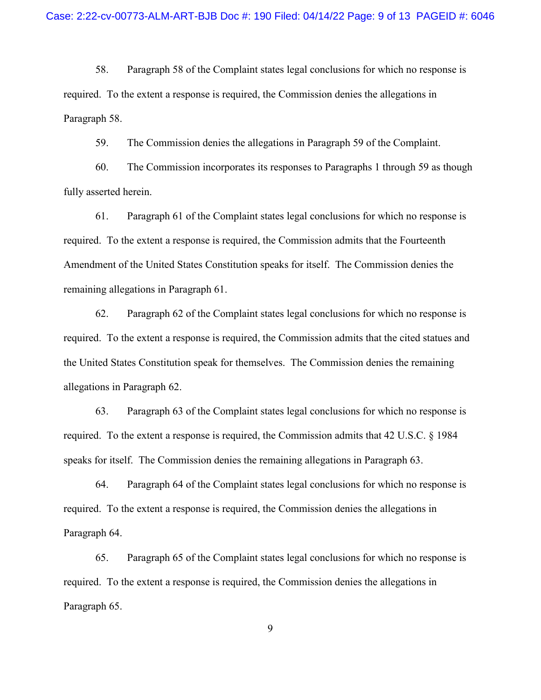58. Paragraph 58 of the Complaint states legal conclusions for which no response is required. To the extent a response is required, the Commission denies the allegations in Paragraph 58.

59. The Commission denies the allegations in Paragraph 59 of the Complaint.

60. The Commission incorporates its responses to Paragraphs 1 through 59 as though fully asserted herein.

61. Paragraph 61 of the Complaint states legal conclusions for which no response is required. To the extent a response is required, the Commission admits that the Fourteenth Amendment of the United States Constitution speaks for itself. The Commission denies the remaining allegations in Paragraph 61.

62. Paragraph 62 of the Complaint states legal conclusions for which no response is required. To the extent a response is required, the Commission admits that the cited statues and the United States Constitution speak for themselves. The Commission denies the remaining allegations in Paragraph 62.

63. Paragraph 63 of the Complaint states legal conclusions for which no response is required. To the extent a response is required, the Commission admits that 42 U.S.C. § 1984 speaks for itself. The Commission denies the remaining allegations in Paragraph 63.

64. Paragraph 64 of the Complaint states legal conclusions for which no response is required. To the extent a response is required, the Commission denies the allegations in Paragraph 64.

65. Paragraph 65 of the Complaint states legal conclusions for which no response is required. To the extent a response is required, the Commission denies the allegations in Paragraph 65.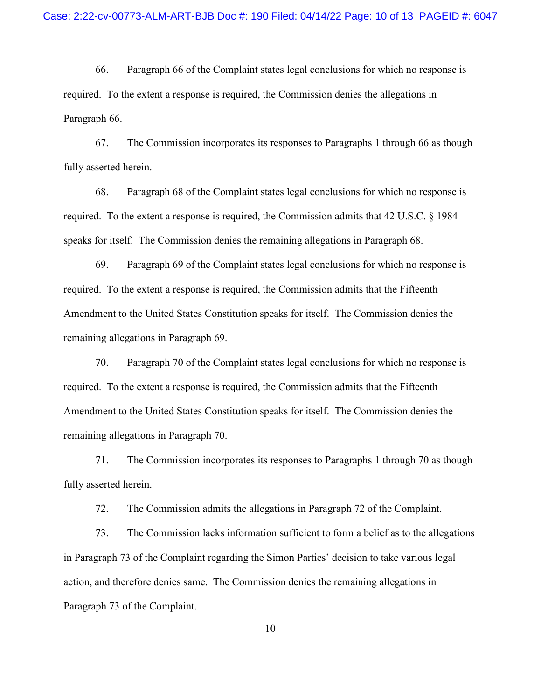66. Paragraph 66 of the Complaint states legal conclusions for which no response is required. To the extent a response is required, the Commission denies the allegations in Paragraph 66.

67. The Commission incorporates its responses to Paragraphs 1 through 66 as though fully asserted herein.

68. Paragraph 68 of the Complaint states legal conclusions for which no response is required. To the extent a response is required, the Commission admits that 42 U.S.C. § 1984 speaks for itself. The Commission denies the remaining allegations in Paragraph 68.

69. Paragraph 69 of the Complaint states legal conclusions for which no response is required. To the extent a response is required, the Commission admits that the Fifteenth Amendment to the United States Constitution speaks for itself. The Commission denies the remaining allegations in Paragraph 69.

70. Paragraph 70 of the Complaint states legal conclusions for which no response is required. To the extent a response is required, the Commission admits that the Fifteenth Amendment to the United States Constitution speaks for itself. The Commission denies the remaining allegations in Paragraph 70.

71. The Commission incorporates its responses to Paragraphs 1 through 70 as though fully asserted herein.

72. The Commission admits the allegations in Paragraph 72 of the Complaint.

73. The Commission lacks information sufficient to form a belief as to the allegations in Paragraph 73 of the Complaint regarding the Simon Parties' decision to take various legal action, and therefore denies same. The Commission denies the remaining allegations in Paragraph 73 of the Complaint.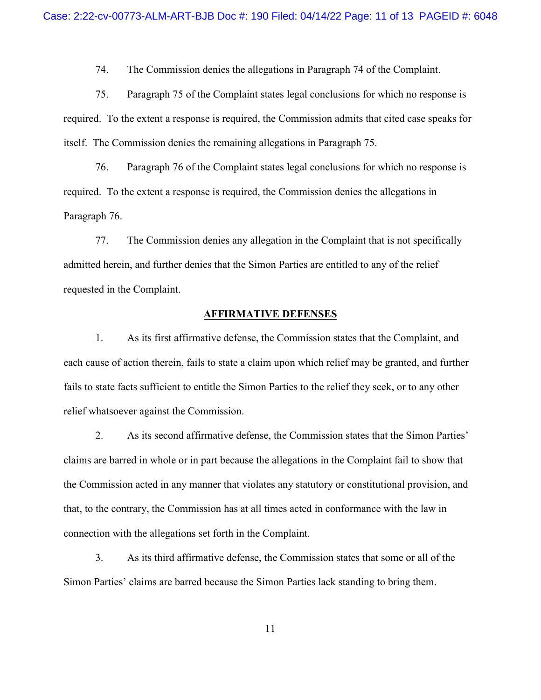74. The Commission denies the allegations in Paragraph 74 of the Complaint.

75. Paragraph 75 of the Complaint states legal conclusions for which no response is required. To the extent a response is required, the Commission admits that cited case speaks for itself. The Commission denies the remaining allegations in Paragraph 75.

76. Paragraph 76 of the Complaint states legal conclusions for which no response is required. To the extent a response is required, the Commission denies the allegations in Paragraph 76.

77. The Commission denies any allegation in the Complaint that is not specifically admitted herein, and further denies that the Simon Parties are entitled to any of the relief requested in the Complaint.

### **AFFIRMATIVE DEFENSES**

1. As its first affirmative defense, the Commission states that the Complaint, and each cause of action therein, fails to state a claim upon which relief may be granted, and further fails to state facts sufficient to entitle the Simon Parties to the relief they seek, or to any other relief whatsoever against the Commission.

2. As its second affirmative defense, the Commission states that the Simon Parties' claims are barred in whole or in part because the allegations in the Complaint fail to show that the Commission acted in any manner that violates any statutory or constitutional provision, and that, to the contrary, the Commission has at all times acted in conformance with the law in connection with the allegations set forth in the Complaint.

3. As its third affirmative defense, the Commission states that some or all of the Simon Parties' claims are barred because the Simon Parties lack standing to bring them.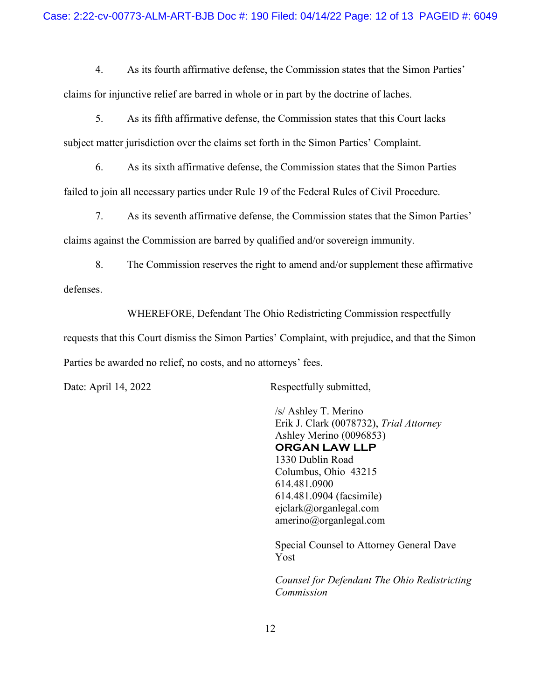### Case: 2:22-cv-00773-ALM-ART-BJB Doc #: 190 Filed: 04/14/22 Page: 12 of 13 PAGEID #: 6049

4. As its fourth affirmative defense, the Commission states that the Simon Parties' claims for injunctive relief are barred in whole or in part by the doctrine of laches.

5. As its fifth affirmative defense, the Commission states that this Court lacks subject matter jurisdiction over the claims set forth in the Simon Parties' Complaint.

6. As its sixth affirmative defense, the Commission states that the Simon Parties failed to join all necessary parties under Rule 19 of the Federal Rules of Civil Procedure.

7. As its seventh affirmative defense, the Commission states that the Simon Parties' claims against the Commission are barred by qualified and/or sovereign immunity.

8. The Commission reserves the right to amend and/or supplement these affirmative defenses.

WHEREFORE, Defendant The Ohio Redistricting Commission respectfully

requests that this Court dismiss the Simon Parties' Complaint, with prejudice, and that the Simon Parties be awarded no relief, no costs, and no attorneys' fees.

Date: April 14, 2022 Respectfully submitted,

/s/ Ashley T. Merino Erik J. Clark (0078732), *Trial Attorney* Ashley Merino (0096853) **ORGAN LAW LLP** 1330 Dublin Road Columbus, Ohio 43215 614.481.0900 614.481.0904 (facsimile) ejclark@organlegal.com amerino@organlegal.com

Special Counsel to Attorney General Dave Yost

*Counsel for Defendant The Ohio Redistricting Commission*